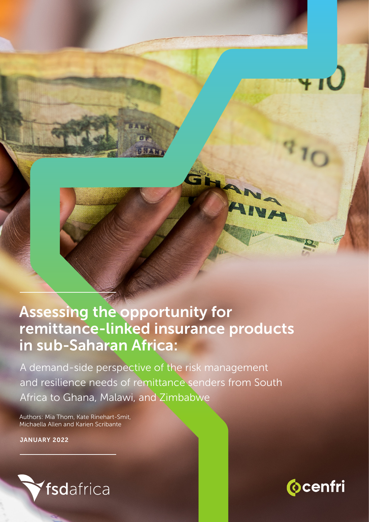## Assessing the opportunity for remittance-linked insurance products in sub-Saharan Africa:

HA

A demand-side perspective of the risk management and resilience needs of remittance senders from South Africa to Ghana, Malawi, and Zimbabwe

Authors: Mia Thom, Kate Rinehart-Smit, Michaella Allen and Karien Scribante

JANUARY 2022



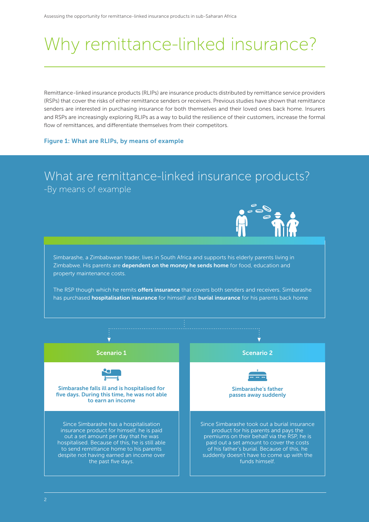# Why remittance-linked insurance?

Remittance-linked insurance products (RLIPs) are insurance products distributed by remittance service providers (RSPs) that cover the risks of either remittance senders or receivers. Previous studies have shown that remittance senders are interested in purchasing insurance for both themselves and their loved ones back home. Insurers and RSPs are increasingly exploring RLIPs as a way to build the resilience of their customers, increase the formal flow of remittances, and differentiate themselves from their competitors.

### Figure 1: What are RLIPs, by means of example

### What are remittance-linked insurance products? -By means of example

Simbarashe, a Zimbabwean trader, lives in South Africa and supports his elderly parents living in Zimbabwe. His parents are dependent on the money he sends home for food, education and property maintenance costs.

The RSP though which he remits offers insurance that covers both senders and receivers. Simbarashe has purchased **hospitalisation insurance** for himself and **burial insurance** for his parents back home

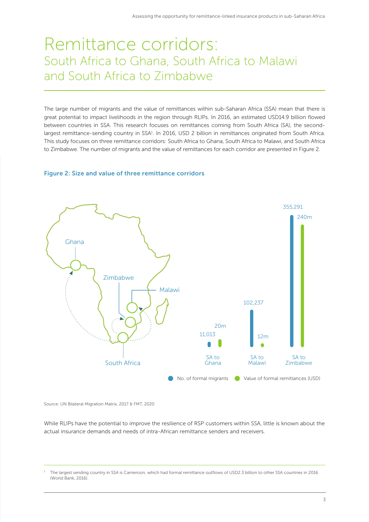### Remittance corridors: South Africa to Ghana, South Africa to Malawi and South Africa to Zimbabwe

The large number of migrants and the value of remittances within sub-Saharan Africa (SSA) mean that there is great potential to impact livelihoods in the region through RLIPs. In 2016, an estimated USD14.9 billion flowed between countries in SSA. This research focuses on remittances coming from South Africa (SA), the secondlargest remittance-sending country in SSA<sup>1</sup>. In 2016, USD 2 billion in remittances originated from South Africa. This study focuses on three remittance corridors: South Africa to Ghana, South Africa to Malawi, and South Africa to Zimbabwe. The number of migrants and the value of remittances for each corridor are presented in Figure 2.

### Figure 2: Size and value of three remittance corridors



Source: UN Bilateral Migration Matrix, 2017 & FMT, 2020

While RLIPs have the potential to improve the resilience of RSP customers within SSA, little is known about the actual insurance demands and needs of intra-African remittance senders and receivers.

<sup>1</sup> The largest sending country in SSA is Cameroon, which had formal remittance outflows of USD2.3 billion to other SSA countries in 2016 (World Bank, 2016).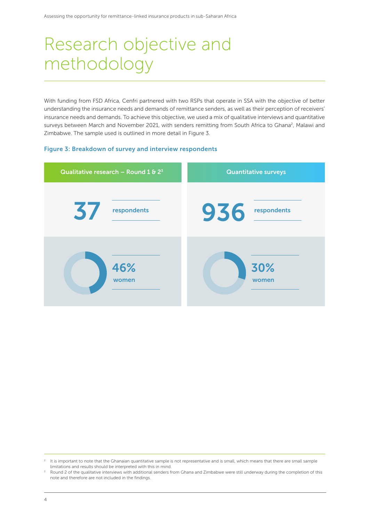# Research objective and methodology

With funding from FSD Africa, Cenfri partnered with two RSPs that operate in SSA with the objective of better understanding the insurance needs and demands of remittance senders, as well as their perception of receivers' insurance needs and demands. To achieve this objective, we used a mix of qualitative interviews and quantitative surveys between March and November 2021, with senders remitting from South Africa to Ghana<sup>2</sup>, Malawi and Zimbabwe. The sample used is outlined in more detail in Figure 3.

### Figure 3: Breakdown of survey and interview respondents



<sup>&</sup>lt;sup>2</sup> It is important to note that the Ghanaian quantitative sample is not representative and is small, which means that there are small sample limitations and results should be interpreted with this in mind. limitations and results should be interpreted with this in mind.<br><sup>3</sup> Round 2 of the qualitative interviews with additional senders from Ghana and Zimbabwe were still underway during the completion of this

note and therefore are not included in the findings.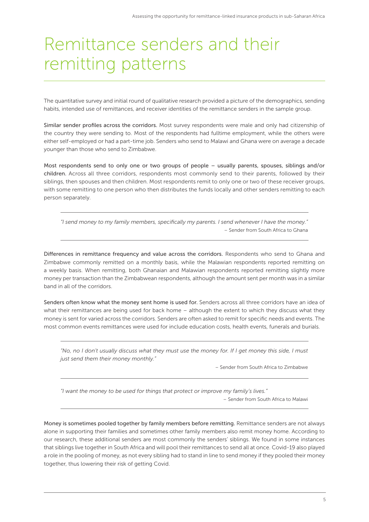# Remittance senders and their remitting patterns

The quantitative survey and initial round of qualitative research provided a picture of the demographics, sending habits, intended use of remittances, and receiver identities of the remittance senders in the sample group.

Similar sender profiles across the corridors. Most survey respondents were male and only had citizenship of the country they were sending to. Most of the respondents had fulltime employment, while the others were either self-employed or had a part-time job. Senders who send to Malawi and Ghana were on average a decade younger than those who send to Zimbabwe.

Most respondents send to only one or two groups of people – usually parents, spouses, siblings and/or children. Across all three corridors, respondents most commonly send to their parents, followed by their siblings, then spouses and then children. Most respondents remit to only one or two of these receiver groups, with some remitting to one person who then distributes the funds locally and other senders remitting to each person separately.

*"I send money to my family members, specifically my parents. I send whenever I have the money."*  – Sender from South Africa to Ghana

Differences in remittance frequency and value across the corridors. Respondents who send to Ghana and Zimbabwe commonly remitted on a monthly basis, while the Malawian respondents reported remitting on a weekly basis. When remitting, both Ghanaian and Malawian respondents reported remitting slightly more money per transaction than the Zimbabwean respondents, although the amount sent per month was in a similar band in all of the corridors.

Senders often know what the money sent home is used for. Senders across all three corridors have an idea of what their remittances are being used for back home – although the extent to which they discuss what they money is sent for varied across the corridors. Senders are often asked to remit for specific needs and events. The most common events remittances were used for include education costs, health events, funerals and burials.

*"No, no I don't usually discuss what they must use the money for. If I get money this side, I must just send them their money monthly."* 

– Sender from South Africa to Zimbabwe

*"I want the money to be used for things that protect or improve my family's lives."*  – Sender from South Africa to Malawi

Money is sometimes pooled together by family members before remitting. Remittance senders are not always alone in supporting their families and sometimes other family members also remit money home. According to our research, these additional senders are most commonly the senders' siblings. We found in some instances that siblings live together in South Africa and will pool their remittances to send all at once. Covid-19 also played a role in the pooling of money, as not every sibling had to stand in line to send money if they pooled their money together, thus lowering their risk of getting Covid.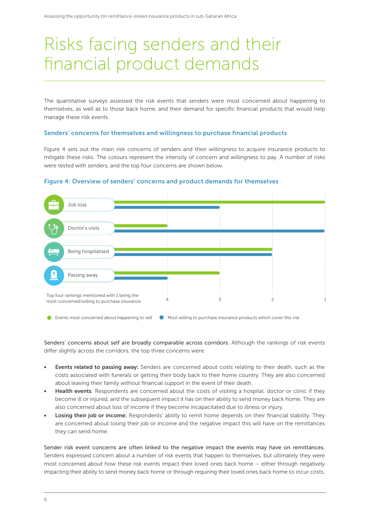# Risks facing senders and their financial product demands

The quantitative surveys assessed the risk events that senders were most concerned about happening to themselves, as well as to those back home, and their demand for specific financial products that would help manage these risk events.

### Senders' concerns for themselves and willingness to purchase financial products

Figure 4 sets out the main risk concerns of senders and their willingness to acquire insurance products to mitigate these risks. The colours represent the intensity of concern and willingness to pay. A number of risks were tested with senders, and the top four concerns are shown below.



#### Figure 4: Overview of senders' concerns and product demands for themselves

Events most concerned about happening to self  $\bullet$  Most willing to purchase insurance products which cover this risk

Senders' concerns about self are broadly comparable across corridors. Although the rankings of risk events differ slightly across the corridors, the top three concerns were:

- Events related to passing away: Senders are concerned about costs relating to their death, such as the costs associated with funerals or getting their body back to their home country. They are also concerned about leaving their family without financial support in the event of their death.
- Health events: Respondents are concerned about the costs of visiting a hospital, doctor or clinic if they become ill or injured, and the subsequent impact it has on their ability to send money back home. They are also concerned about loss of income if they become incapacitated due to illness or injury.
- Losing their job or income: Respondents' ability to remit home depends on their financial stability. They are concerned about losing their job or income and the negative impact this will have on the remittances they can send home.

Sender risk event concerns are often linked to the negative impact the events may have on remittances. Senders expressed concern about a number of risk events that happen to themselves, but ultimately they were most concerned about how these risk events impact their loved ones back home – either through negatively impacting their ability to send money back home or through requiring their loved ones back home to incur costs.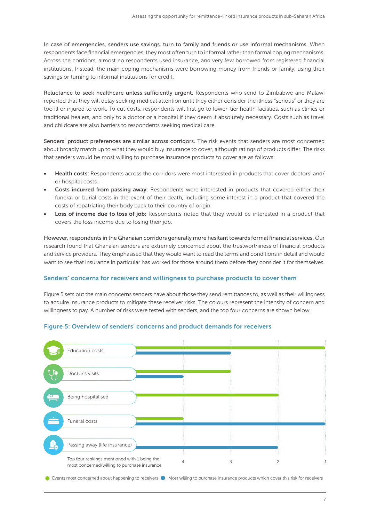In case of emergencies, senders use savings, turn to family and friends or use informal mechanisms. When respondents face financial emergencies, they most often turn to informal rather than formal coping mechanisms. Across the corridors, almost no respondents used insurance, and very few borrowed from registered financial institutions. Instead, the main coping mechanisms were borrowing money from friends or family, using their savings or turning to informal institutions for credit.

Reluctance to seek healthcare unless sufficiently urgent. Respondents who send to Zimbabwe and Malawi reported that they will delay seeking medical attention until they either consider the illness "serious" or they are too ill or injured to work. To cut costs, respondents will first go to lower-tier health facilities, such as clinics or traditional healers, and only to a doctor or a hospital if they deem it absolutely necessary. Costs such as travel and childcare are also barriers to respondents seeking medical care.

Senders' product preferences are similar across corridors. The risk events that senders are most concerned about broadly match up to what they would buy insurance to cover, although ratings of products differ. The risks that senders would be most willing to purchase insurance products to cover are as follows:

- Health costs: Respondents across the corridors were most interested in products that cover doctors' and/ or hospital costs.
- Costs incurred from passing away: Respondents were interested in products that covered either their funeral or burial costs in the event of their death, including some interest in a product that covered the costs of repatriating their body back to their country of origin.
- Loss of income due to loss of job: Respondents noted that they would be interested in a product that covers the loss income due to losing their job.

However, respondents in the Ghanaian corridors generally more hesitant towards formal financial services. Our research found that Ghanaian senders are extremely concerned about the trustworthiness of financial products and service providers. They emphasised that they would want to read the terms and conditions in detail and would want to see that insurance in particular has worked for those around them before they consider it for themselves.

### Senders' concerns for receivers and willingness to purchase products to cover them

Figure 5 sets out the main concerns senders have about those they send remittances to, as well as their willingness to acquire insurance products to mitigate these receiver risks. The colours represent the intensity of concern and willingness to pay. A number of risks were tested with senders, and the top four concerns are shown below.

### Figure 5: Overview of senders' concerns and product demands for receivers



● Events most concerned about happening to receivers ● Most willing to purchase insurance products which cover this risk for receivers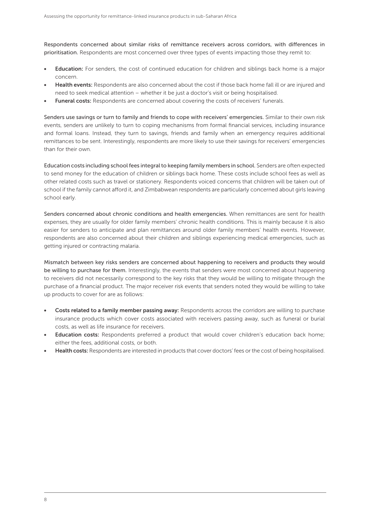Respondents concerned about similar risks of remittance receivers across corridors, with differences in prioritisation. Respondents are most concerned over three types of events impacting those they remit to:

- **Education:** For senders, the cost of continued education for children and siblings back home is a major concern.
- Health events: Respondents are also concerned about the cost if those back home fall ill or are injured and need to seek medical attention – whether it be just a doctor's visit or being hospitalised.
- **Funeral costs:** Respondents are concerned about covering the costs of receivers' funerals.

Senders use savings or turn to family and friends to cope with receivers' emergencies. Similar to their own risk events, senders are unlikely to turn to coping mechanisms from formal financial services, including insurance and formal loans. Instead, they turn to savings, friends and family when an emergency requires additional remittances to be sent. Interestingly, respondents are more likely to use their savings for receivers' emergencies than for their own.

Education costs including school fees integral to keeping family members in school. Senders are often expected to send money for the education of children or siblings back home. These costs include school fees as well as other related costs such as travel or stationery. Respondents voiced concerns that children will be taken out of school if the family cannot afford it, and Zimbabwean respondents are particularly concerned about girls leaving school early.

Senders concerned about chronic conditions and health emergencies. When remittances are sent for health expenses, they are usually for older family members' chronic health conditions. This is mainly because it is also easier for senders to anticipate and plan remittances around older family members' health events. However, respondents are also concerned about their children and siblings experiencing medical emergencies, such as getting injured or contracting malaria.

Mismatch between key risks senders are concerned about happening to receivers and products they would be willing to purchase for them. Interestingly, the events that senders were most concerned about happening to receivers did not necessarily correspond to the key risks that they would be willing to mitigate through the purchase of a financial product. The major receiver risk events that senders noted they would be willing to take up products to cover for are as follows:

- Costs related to a family member passing away: Respondents across the corridors are willing to purchase insurance products which cover costs associated with receivers passing away, such as funeral or burial costs, as well as life insurance for receivers.
- **Education costs:** Respondents preferred a product that would cover children's education back home; either the fees, additional costs, or both.
- Health costs: Respondents are interested in products that cover doctors' fees or the cost of being hospitalised.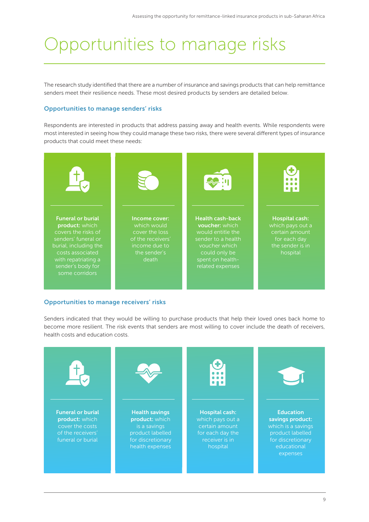# Opportunities to manage risks

The research study identified that there are a number of insurance and savings products that can help remittance senders meet their resilience needs. These most desired products by senders are detailed below.

### Opportunities to manage senders' risks

Respondents are interested in products that address passing away and health events. While respondents were most interested in seeing how they could manage these two risks, there were several different types of insurance products that could meet these needs:



### Opportunities to manage receivers' risks

Senders indicated that they would be willing to purchase products that help their loved ones back home to become more resilient. The risk events that senders are most willing to cover include the death of receivers, health costs and education costs.

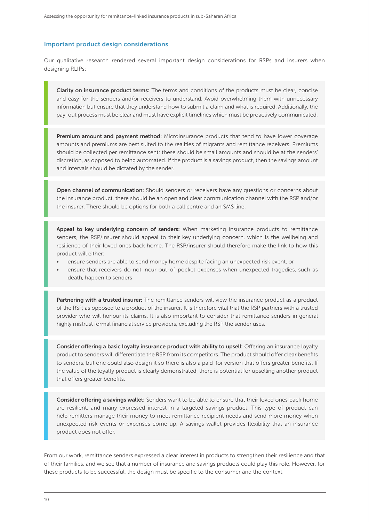#### Important product design considerations

Our qualitative research rendered several important design considerations for RSPs and insurers when designing RLIPs:

Clarity on insurance product terms: The terms and conditions of the products must be clear, concise and easy for the senders and/or receivers to understand. Avoid overwhelming them with unnecessary information but ensure that they understand how to submit a claim and what is required. Additionally, the pay-out process must be clear and must have explicit timelines which must be proactively communicated.

**Premium amount and payment method:** Microinsurance products that tend to have lower coverage amounts and premiums are best suited to the realities of migrants and remittance receivers. Premiums should be collected per remittance sent; these should be small amounts and should be at the senders' discretion, as opposed to being automated. If the product is a savings product, then the savings amount and intervals should be dictated by the sender.

Open channel of communication: Should senders or receivers have any questions or concerns about the insurance product, there should be an open and clear communication channel with the RSP and/or the insurer. There should be options for both a call centre and an SMS line.

Appeal to key underlying concern of senders: When marketing insurance products to remittance senders, the RSP/insurer should appeal to their key underlying concern, which is the wellbeing and resilience of their loved ones back home. The RSP/insurer should therefore make the link to how this product will either:

- ensure senders are able to send money home despite facing an unexpected risk event, or
- ensure that receivers do not incur out-of-pocket expenses when unexpected tragedies, such as death, happen to senders

Partnering with a trusted insurer: The remittance senders will view the insurance product as a product of the RSP, as opposed to a product of the insurer. It is therefore vital that the RSP partners with a trusted provider who will honour its claims. It is also important to consider that remittance senders in general highly mistrust formal financial service providers, excluding the RSP the sender uses.

Consider offering a basic loyalty insurance product with ability to upsell: Offering an insurance loyalty product to senders will differentiate the RSP from its competitors. The product should offer clear benefits to senders, but one could also design it so there is also a paid-for version that offers greater benefits. If the value of the loyalty product is clearly demonstrated, there is potential for upselling another product that offers greater benefits.

Consider offering a savings wallet: Senders want to be able to ensure that their loved ones back home are resilient, and many expressed interest in a targeted savings product. This type of product can help remitters manage their money to meet remittance recipient needs and send more money when unexpected risk events or expenses come up. A savings wallet provides flexibility that an insurance product does not offer.

From our work, remittance senders expressed a clear interest in products to strengthen their resilience and that of their families, and we see that a number of insurance and savings products could play this role. However, for these products to be successful, the design must be specific to the consumer and the context.